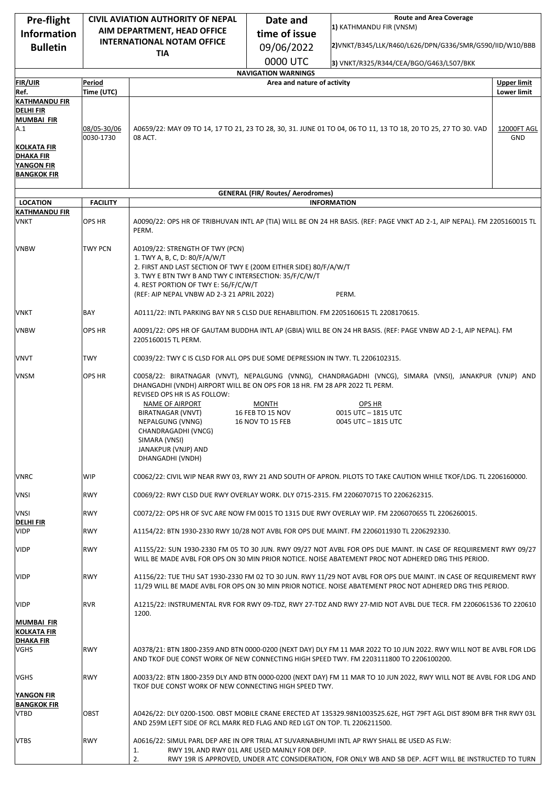| <b>Pre-flight</b><br><b>Information</b>                                    | <b>CIVIL AVIATION AUTHORITY OF NEPAL</b><br>AIM DEPARTMENT, HEAD OFFICE<br><b>INTERNATIONAL NOTAM OFFICE</b><br><b>TIA</b> |                                                                                                                                                                                                                                                                                              | Date and                                                  | <b>Route and Area Coverage</b><br>1) KATHMANDU FIR (VNSM)<br>time of issue<br>2)VNKT/B345/LLK/R460/L626/DPN/G336/SMR/G590/IID/W10/BBB<br>09/06/2022                                                                            |                    |
|----------------------------------------------------------------------------|----------------------------------------------------------------------------------------------------------------------------|----------------------------------------------------------------------------------------------------------------------------------------------------------------------------------------------------------------------------------------------------------------------------------------------|-----------------------------------------------------------|--------------------------------------------------------------------------------------------------------------------------------------------------------------------------------------------------------------------------------|--------------------|
| <b>Bulletin</b>                                                            |                                                                                                                            |                                                                                                                                                                                                                                                                                              |                                                           |                                                                                                                                                                                                                                |                    |
|                                                                            |                                                                                                                            |                                                                                                                                                                                                                                                                                              | 0000 UTC                                                  | 3) VNKT/R325/R344/CEA/BGO/G463/L507/BKK                                                                                                                                                                                        |                    |
| <b>FIR/UIR</b>                                                             | Period                                                                                                                     |                                                                                                                                                                                                                                                                                              | <b>NAVIGATION WARNINGS</b><br>Area and nature of activity |                                                                                                                                                                                                                                | <b>Upper limit</b> |
| Ref.                                                                       | Time (UTC)                                                                                                                 |                                                                                                                                                                                                                                                                                              |                                                           |                                                                                                                                                                                                                                | <b>Lower limit</b> |
| <b>KATHMANDU FIR</b><br><b>DELHI FIR</b><br><b>MUMBAI FIR</b>              |                                                                                                                            |                                                                                                                                                                                                                                                                                              |                                                           |                                                                                                                                                                                                                                |                    |
| A.1                                                                        | 08/05-30/06<br>0030-1730                                                                                                   | 08 ACT.                                                                                                                                                                                                                                                                                      |                                                           | A0659/22: MAY 09 TO 14, 17 TO 21, 23 TO 28, 30, 31. JUNE 01 TO 04, 06 TO 11, 13 TO 18, 20 TO 25, 27 TO 30. VAD                                                                                                                 | 12000FT AGL<br>GND |
| KOLKATA FIR<br><b>DHAKA FIR</b><br><b>YANGON FIR</b><br><b>BANGKOK FIR</b> |                                                                                                                            |                                                                                                                                                                                                                                                                                              |                                                           |                                                                                                                                                                                                                                |                    |
|                                                                            |                                                                                                                            |                                                                                                                                                                                                                                                                                              | <b>GENERAL (FIR/ Routes/ Aerodromes)</b>                  |                                                                                                                                                                                                                                |                    |
| <b>LOCATION</b>                                                            | <b>FACILITY</b>                                                                                                            |                                                                                                                                                                                                                                                                                              |                                                           | <b>INFORMATION</b>                                                                                                                                                                                                             |                    |
| <b>KATHMANDU FIR</b><br>VNKT                                               | OPS HR                                                                                                                     | PERM.                                                                                                                                                                                                                                                                                        |                                                           | A0090/22: OPS HR OF TRIBHUVAN INTL AP (TIA) WILL BE ON 24 HR BASIS. (REF: PAGE VNKT AD 2-1, AIP NEPAL). FM 2205160015 TL                                                                                                       |                    |
| <b>VNBW</b>                                                                | <b>TWY PCN</b>                                                                                                             | A0109/22: STRENGTH OF TWY (PCN)<br>1. TWY A, B, C, D: 80/F/A/W/T<br>2. FIRST AND LAST SECTION OF TWY E (200M EITHER SIDE) 80/F/A/W/T<br>3. TWY E BTN TWY B AND TWY C INTERSECTION: 35/F/C/W/T<br>4. REST PORTION OF TWY E: 56/F/C/W/T<br>PERM.<br>(REF: AIP NEPAL VNBW AD 2-3 21 APRIL 2022) |                                                           |                                                                                                                                                                                                                                |                    |
| VNKT                                                                       | BAY                                                                                                                        | A0111/22: INTL PARKING BAY NR 5 CLSD DUE REHABILITION. FM 2205160615 TL 2208170615.                                                                                                                                                                                                          |                                                           |                                                                                                                                                                                                                                |                    |
| <b>VNBW</b>                                                                | OPS HR                                                                                                                     | A0091/22: OPS HR OF GAUTAM BUDDHA INTL AP (GBIA) WILL BE ON 24 HR BASIS. (REF: PAGE VNBW AD 2-1, AIP NEPAL). FM<br>2205160015 TL PERM.                                                                                                                                                       |                                                           |                                                                                                                                                                                                                                |                    |
| VNVT                                                                       | TWY                                                                                                                        | C0039/22: TWY C IS CLSD FOR ALL OPS DUE SOME DEPRESSION IN TWY. TL 2206102315.                                                                                                                                                                                                               |                                                           |                                                                                                                                                                                                                                |                    |
| <b>VNSM</b>                                                                | OPS HR                                                                                                                     | DHANGADHI (VNDH) AIRPORT WILL BE ON OPS FOR 18 HR. FM 28 APR 2022 TL PERM.<br>REVISED OPS HR IS AS FOLLOW:<br>NAME OF AIRPORT<br>BIRATNAGAR (VNVT)<br>NEPALGUNG (VNNG)<br>CHANDRAGADHI (VNCG)<br>SIMARA (VNSI)<br>JANAKPUR (VNJP) AND<br>DHANGADHI (VNDH)                                    | <b>MONTH</b><br>16 FEB TO 15 NOV<br>16 NOV TO 15 FEB      | C0058/22: BIRATNAGAR (VNVT), NEPALGUNG (VNNG), CHANDRAGADHI (VNCG), SIMARA (VNSI), JANAKPUR (VNJP) AND<br>OPS HR<br>0015 UTC - 1815 UTC<br>0045 UTC - 1815 UTC                                                                 |                    |
| <b>VNRC</b>                                                                | WIP                                                                                                                        | C0062/22: CIVIL WIP NEAR RWY 03, RWY 21 AND SOUTH OF APRON. PILOTS TO TAKE CAUTION WHILE TKOF/LDG. TL 2206160000.                                                                                                                                                                            |                                                           |                                                                                                                                                                                                                                |                    |
| VNSI                                                                       | <b>RWY</b>                                                                                                                 | C0069/22: RWY CLSD DUE RWY OVERLAY WORK. DLY 0715-2315. FM 2206070715 TO 2206262315.                                                                                                                                                                                                         |                                                           |                                                                                                                                                                                                                                |                    |
| <b>VNSI</b><br><b>DELHIFIR</b>                                             | <b>RWY</b>                                                                                                                 |                                                                                                                                                                                                                                                                                              |                                                           | C0072/22: OPS HR OF SVC ARE NOW FM 0015 TO 1315 DUE RWY OVERLAY WIP. FM 2206070655 TL 2206260015.                                                                                                                              |                    |
| <b>VIDP</b>                                                                | <b>RWY</b>                                                                                                                 |                                                                                                                                                                                                                                                                                              |                                                           | A1154/22: BTN 1930-2330 RWY 10/28 NOT AVBL FOR OPS DUE MAINT. FM 2206011930 TL 2206292330.                                                                                                                                     |                    |
| <b>VIDP</b>                                                                | <b>RWY</b>                                                                                                                 | A1155/22: SUN 1930-2330 FM 05 TO 30 JUN. RWY 09/27 NOT AVBL FOR OPS DUE MAINT. IN CASE OF REQUIREMENT RWY 09/27<br>WILL BE MADE AVBL FOR OPS ON 30 MIN PRIOR NOTICE. NOISE ABATEMENT PROC NOT ADHERED DRG THIS PERIOD.                                                                       |                                                           |                                                                                                                                                                                                                                |                    |
| <b>VIDP</b>                                                                | <b>RWY</b>                                                                                                                 |                                                                                                                                                                                                                                                                                              |                                                           | A1156/22: TUE THU SAT 1930-2330 FM 02 TO 30 JUN. RWY 11/29 NOT AVBL FOR OPS DUE MAINT. IN CASE OF REQUIREMENT RWY<br>11/29 WILL BE MADE AVBL FOR OPS ON 30 MIN PRIOR NOTICE. NOISE ABATEMENT PROC NOT ADHERED DRG THIS PERIOD. |                    |
| <b>VIDP</b><br>MUMBAI FIR                                                  | <b>RVR</b>                                                                                                                 | 1200.                                                                                                                                                                                                                                                                                        |                                                           | A1215/22: INSTRUMENTAL RVR FOR RWY 09-TDZ, RWY 27-TDZ AND RWY 27-MID NOT AVBL DUE TECR. FM 2206061536 TO 220610                                                                                                                |                    |
| <b>KOLKATA FIR</b>                                                         |                                                                                                                            |                                                                                                                                                                                                                                                                                              |                                                           |                                                                                                                                                                                                                                |                    |
| <b>DHAKA FIR</b><br>VGHS                                                   | <b>RWY</b>                                                                                                                 |                                                                                                                                                                                                                                                                                              |                                                           | A0378/21: BTN 1800-2359 AND BTN 0000-0200 (NEXT DAY) DLY FM 11 MAR 2022 TO 10 JUN 2022. RWY WILL NOT BE AVBL FOR LDG<br>AND TKOF DUE CONST WORK OF NEW CONNECTING HIGH SPEED TWY. FM 2203111800 TO 2206100200.                 |                    |
| VGHS<br>YANGON FIR                                                         | <b>RWY</b>                                                                                                                 | A0033/22: BTN 1800-2359 DLY AND BTN 0000-0200 (NEXT DAY) FM 11 MAR TO 10 JUN 2022, RWY WILL NOT BE AVBL FOR LDG AND<br>TKOF DUE CONST WORK OF NEW CONNECTING HIGH SPEED TWY.                                                                                                                 |                                                           |                                                                                                                                                                                                                                |                    |
| <b>BANGKOK FIR</b><br><b>VTBD</b>                                          | OBST                                                                                                                       | AND 259M LEFT SIDE OF RCL MARK RED FLAG AND RED LGT ON TOP. TL 2206211500.                                                                                                                                                                                                                   |                                                           | A0426/22: DLY 0200-1500. OBST MOBILE CRANE ERECTED AT 135329.98N1003525.62E, HGT 79FT AGL DIST 890M BFR THR RWY 03L                                                                                                            |                    |
| <b>VTBS</b>                                                                | <b>RWY</b>                                                                                                                 | 1.<br>2.                                                                                                                                                                                                                                                                                     | RWY 19L AND RWY 01L ARE USED MAINLY FOR DEP.              | A0616/22: SIMUL PARL DEP ARE IN OPR TRIAL AT SUVARNABHUMI INTL AP RWY SHALL BE USED AS FLW:<br>RWY 19R IS APPROVED, UNDER ATC CONSIDERATION, FOR ONLY WB AND SB DEP. ACFT WILL BE INSTRUCTED TO TURN                           |                    |